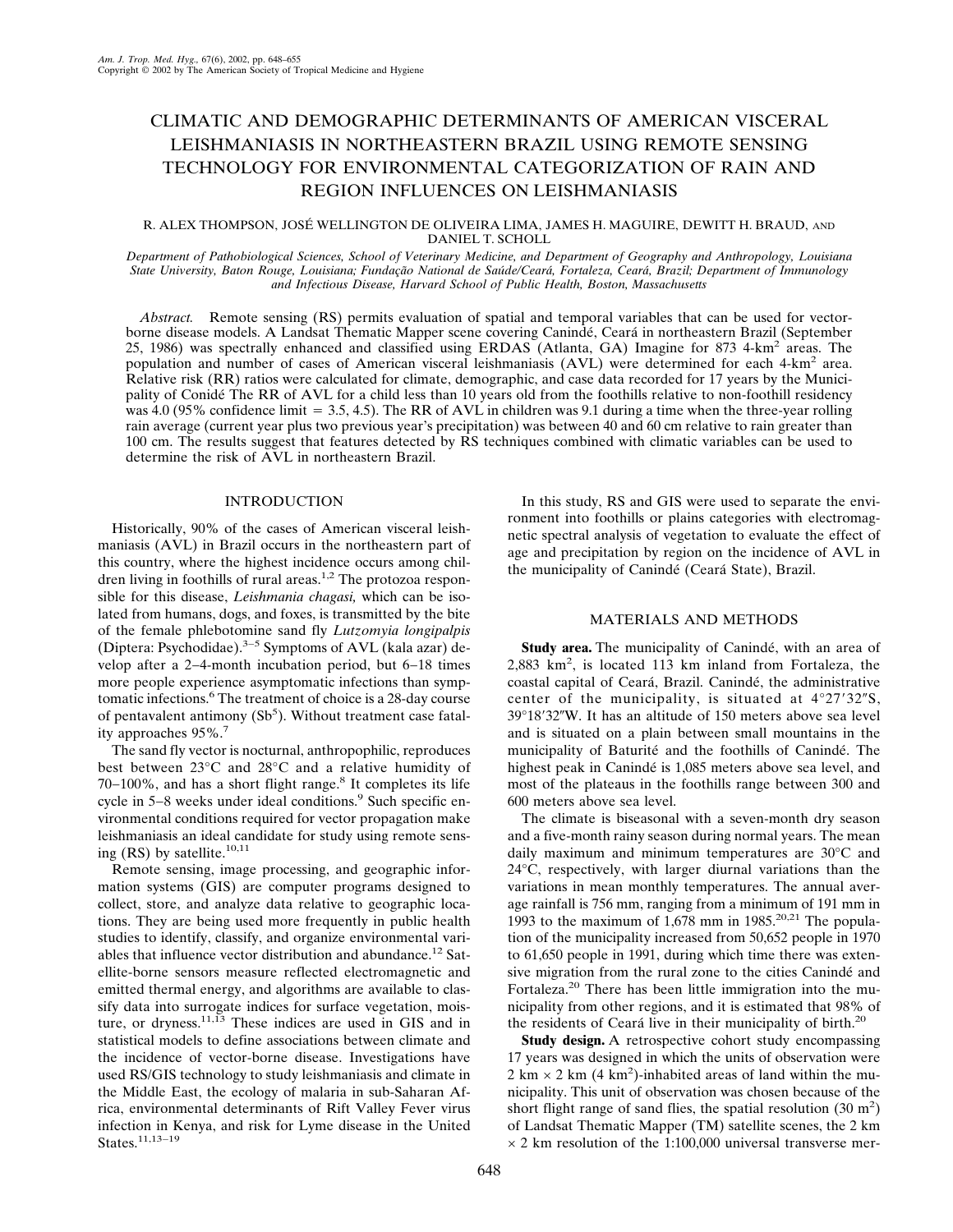# CLIMATIC AND DEMOGRAPHIC DETERMINANTS OF AMERICAN VISCERAL LEISHMANIASIS IN NORTHEASTERN BRAZIL USING REMOTE SENSING TECHNOLOGY FOR ENVIRONMENTAL CATEGORIZATION OF RAIN AND REGION INFLUENCES ON LEISHMANIASIS

## R. ALEX THOMPSON, JOSÉ WELLINGTON DE OLIVEIRA LIMA, JAMES H. MAGUIRE, DEWITT H. BRAUD, AND DANIEL T. SCHOLL

*Department of Pathobiological Sciences, School of Veterinary Medicine, and Department of Geography and Anthropology, Louisiana State University, Baton Rouge, Louisiana; Fundação National de Saúde/Ceará, Fortaleza, Ceará, Brazil; Department of Immunology and Infectious Disease, Harvard School of Public Health, Boston, Massachusetts*

*Abstract.* Remote sensing (RS) permits evaluation of spatial and temporal variables that can be used for vectorborne disease models. A Landsat Thematic Mapper scene covering Canindé, Ceará in northeastern Brazil (September 25, 1986) was spectrally enhanced and classified using ERDAS (Atlanta, GA) Imagine for 873 4-km<sup>2</sup> areas. The population and number of cases of American visceral leishmaniasis (AVL) were determined for each 4-km<sup>2</sup> area. Relative risk (RR) ratios were calculated for climate, demographic, and case data recorded for 17 years by the Municipality of Conidé The RR of AVL for a child less than 10 years old from the foothills relative to non-foothill residency was 4.0 (95% confidence limit  $= 3.5, 4.5$ ). The RR of AVL in children was 9.1 during a time when the three-year rolling rain average (current year plus two previous year's precipitation) was between 40 and 60 cm relative to rain greater than 100 cm. The results suggest that features detected by RS techniques combined with climatic variables can be used to determine the risk of AVL in northeastern Brazil.

## INTRODUCTION

Historically, 90% of the cases of American visceral leishmaniasis (AVL) in Brazil occurs in the northeastern part of this country, where the highest incidence occurs among children living in foothills of rural areas.<sup>1,2</sup> The protozoa responsible for this disease, *Leishmania chagasi,* which can be isolated from humans, dogs, and foxes, is transmitted by the bite of the female phlebotomine sand fly *Lutzomyia longipalpis* (Diptera: Psychodidae).3−5 Symptomsof AVL (kala azar) develop after a 2−4-month incubation period, but 6−18 times more people experience asymptomatic infections than symptomatic infections.<sup>6</sup> The treatment of choice is a 28-day course of pentavalent antimony  $(Sb<sup>5</sup>)$ . Without treatment case fatality approaches  $95\%$ .<sup>7</sup>

The sand fly vector is nocturnal, anthropophilic, reproduces best between 23°C and 28°C and a relative humidity of 70–100%, and has a short flight range.<sup>8</sup> It completes its life cycle in 5−8 weeks under ideal conditions.<sup>9</sup> Such specific environmental conditions required for vector propagation make leishmaniasis an ideal candidate for study using remote sensing (RS) by satellite. $10,11$ 

Remote sensing, image processing, and geographic information systems (GIS) are computer programs designed to collect, store, and analyze data relative to geographic locations. They are being used more frequently in public health studies to identify, classify, and organize environmental variables that influence vector distribution and abundance.<sup>12</sup> Satellite-borne sensors measure reflected electromagnetic and emitted thermal energy, and algorithms are available to classify data into surrogate indices for surface vegetation, moisture, or dryness.<sup>11,13</sup> These indices are used in GIS and in statistical models to define associations between climate and the incidence of vector-borne disease. Investigations have used RS/GIS technology to study leishmaniasis and climate in the Middle East, the ecology of malaria in sub-Saharan Africa, environmental determinants of Rift Valley Fever virus infection in Kenya, and risk for Lyme disease in the United States.11,13−19

In this study, RS and GIS were used to separate the environment into foothills or plains categories with electromagnetic spectral analysis of vegetation to evaluate the effect of age and precipitation by region on the incidence of AVL in the municipality of Canindé (Ceará State), Brazil.

# MATERIALS AND METHODS

**Study area.** The municipality of Canindé, with an area of 2,883 km<sup>2</sup> , islocated 113 km inland from Fortaleza, the coastal capital of Ceará, Brazil. Canindé, the administrative center of the municipality, is situated at  $4^{\circ}27'32''S$ , 39°18′32″W. It has an altitude of 150 meters above sea level and is situated on a plain between small mountains in the municipality of Baturité and the foothills of Canindé. The highest peak in Canindé is 1,085 meters above sea level, and most of the plateaus in the foothills range between 300 and 600 meters above sea level.

The climate is biseasonal with a seven-month dry season and a five-month rainy season during normal years. The mean daily maximum and minimum temperatures are  $30^{\circ}$ C and 24°C, respectively, with larger diurnal variations than the variations in mean monthly temperatures. The annual average rainfall is756 mm, ranging from a minimum of 191 mm in 1993 to the maximum of 1,678 mm in  $1985$ <sup>20,21</sup> The population of the municipality increased from 50,652 people in 1970 to 61,650 people in 1991, during which time there was extensive migration from the rural zone to the cities Canindé and Fortaleza.<sup>20</sup> There has been little immigration into the municipality from other regions, and it is estimated that 98% of the residents of Ceará live in their municipality of birth.<sup>20</sup>

**Study design.** A retrospective cohort study encompassing 17 years was designed in which the units of observation were  $2 \text{ km} \times 2 \text{ km}$  (4 km<sup>2</sup>)-inhabited areas of land within the municipality. This unit of observation was chosen because of the short flight range of sand flies, the spatial resolution  $(30 \text{ m}^2)$ of Landsat Thematic Mapper (TM) satellite scenes, the 2 km  $\times$  2 km resolution of the 1:100,000 universal transverse mer-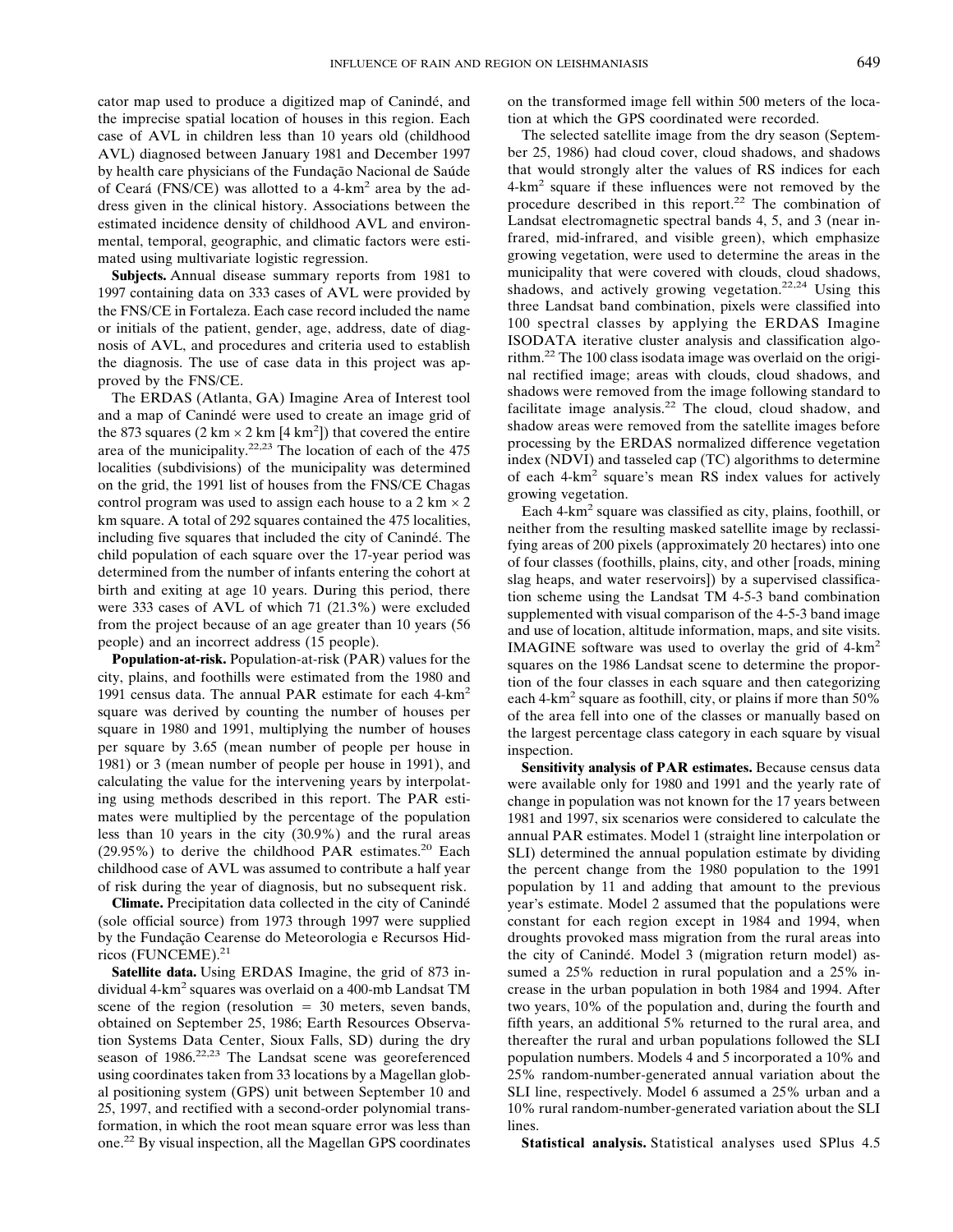cator map used to produce a digitized map of Canindé, and the imprecise spatial location of houses in this region. Each case of AVL in children less than 10 years old (childhood AVL) diagnosed between January 1981 and December 1997 by health care physicians of the Fundação Nacional de Saúde of Ceará (FNS/CE) wasallotted to a 4-km2 area by the address given in the clinical history. Associations between the estimated incidence density of childhood AVL and environmental, temporal, geographic, and climatic factors were estimated using multivariate logistic regression.

**Subjects.** Annual disease summary reports from 1981 to 1997 containing data on 333 cases of AVL were provided by the FNS/CE in Fortaleza. Each case record included the name or initials of the patient, gender, age, address, date of diagnosis of AVL, and procedures and criteria used to establish the diagnosis. The use of case data in this project was approved by the FNS/CE.

The ERDAS (Atlanta, GA) Imagine Area of Interest tool and a map of Canindé were used to create an image grid of the 873 squares  $(2 \text{ km} \times 2 \text{ km} [4 \text{ km}^2])$  that covered the entire area of the municipality.22,23 The location of each of the 475 localities (subdivisions) of the municipality was determined on the grid, the 1991 list of houses from the FNS/CE Chagas control program was used to assign each house to a  $2 \text{ km} \times 2$ km square. A total of 292 squares contained the 475 localities, including five squares that included the city of Canindé. The child population of each square over the 17-year period was determined from the number of infants entering the cohort at birth and exiting at age 10 years. During this period, there were 333 cases of AVL of which 71 (21.3%) were excluded from the project because of an age greater than 10 years (56 people) and an incorrect address (15 people).

**Population-at-risk.** Population-at-risk (PAR) values for the city, plains, and foothills were estimated from the 1980 and 1991 census data. The annual PAR estimate for each 4-km<sup>2</sup> square was derived by counting the number of houses per square in 1980 and 1991, multiplying the number of houses per square by 3.65 (mean number of people per house in 1981) or 3 (mean number of people per house in 1991), and calculating the value for the intervening years by interpolating using methods described in this report. The PAR estimates were multiplied by the percentage of the population less than 10 years in the city  $(30.9\%)$  and the rural areas (29.95%) to derive the childhood PAR estimates.<sup>20</sup> Each childhood case of AVL was assumed to contribute a half year of risk during the year of diagnosis, but no subsequent risk.

**Climate.** Precipitation data collected in the city of Canindé (sole official source) from 1973 through 1997 were supplied by the Fundação Cearense do Meteorologia e Recursos Hidricos(FUNCEME).21

**Satellite data.** Using ERDAS Imagine, the grid of 873 individual  $4 \times m^2$  squares was overlaid on a 400-mb Landsat TM scene of the region (resolution  $= 30$  meters, seven bands, obtained on September 25, 1986; Earth Resources Observation Systems Data Center, Sioux Falls, SD) during the dry season of 1986.<sup>22,23</sup> The Landsat scene was georeferenced using coordinates taken from 33 locations by a Magellan global positioning system (GPS) unit between September 10 and 25, 1997, and rectified with a second-order polynomial transformation, in which the root mean square error was less than one.22 By visual inspection, all the Magellan GPS coordinates on the transformed image fell within 500 meters of the location at which the GPS coordinated were recorded.

The selected satellite image from the dry season (September 25, 1986) had cloud cover, cloud shadows, and shadows that would strongly alter the values of RS indices for each 4-km<sup>2</sup> square if these influences were not removed by the procedure described in this report.<sup>22</sup> The combination of Landsat electromagnetic spectral bands 4, 5, and 3 (near infrared, mid-infrared, and visible green), which emphasize growing vegetation, were used to determine the areas in the municipality that were covered with clouds, cloud shadows, shadows, and actively growing vegetation.<sup>22,24</sup> Using this three Landsat band combination, pixels were classified into 100 spectral classes by applying the ERDAS Imagine ISODATA iterative cluster analysis and classification algorithm.22 The 100 class isodata image was overlaid on the original rectified image; areas with clouds, cloud shadows, and shadows were removed from the image following standard to facilitate image analysis.<sup>22</sup> The cloud, cloud shadow, and shadow areas were removed from the satellite images before processing by the ERDAS normalized difference vegetation index (NDVI) and tasseled cap (TC) algorithms to determine of each  $4-km^2$  square's mean RS index values for actively growing vegetation.

Each 4-km2 square was classified as city, plains, foothill, or neither from the resulting masked satellite image by reclassifying areas of 200 pixels (approximately 20 hectares) into one of four classes (foothills, plains, city, and other [roads, mining slag heaps, and water reservoirs]) by a supervised classification scheme using the Landsat TM 4-5-3 band combination supplemented with visual comparison of the 4-5-3 band image and use of location, altitude information, maps, and site visits. IMAGINE software was used to overlay the grid of 4-km<sup>2</sup> squares on the 1986 Landsat scene to determine the proportion of the four classes in each square and then categorizing each  $4\text{-}km^2$  square as foothill, city, or plains if more than 50% of the area fell into one of the classes or manually based on the largest percentage class category in each square by visual inspection.

**Sensitivity analysis of PAR estimates.** Because census data were available only for 1980 and 1991 and the yearly rate of change in population was not known for the 17 years between 1981 and 1997, six scenarios were considered to calculate the annual PAR estimates. Model 1 (straight line interpolation or SLI) determined the annual population estimate by dividing the percent change from the 1980 population to the 1991 population by 11 and adding that amount to the previous year's estimate. Model 2 assumed that the populations were constant for each region except in 1984 and 1994, when droughts provoked mass migration from the rural areas into the city of Canindé. Model 3 (migration return model) assumed a 25% reduction in rural population and a 25% increase in the urban population in both 1984 and 1994. After two years, 10% of the population and, during the fourth and fifth years, an additional 5% returned to the rural area, and thereafter the rural and urban populations followed the SLI population numbers. Models 4 and 5 incorporated a 10% and 25% random-number-generated annual variation about the SLI line, respectively. Model 6 assumed a 25% urban and a 10% rural random-number-generated variation about the SLI lines.

**Statistical analysis.** Statistical analyses used SPlus 4.5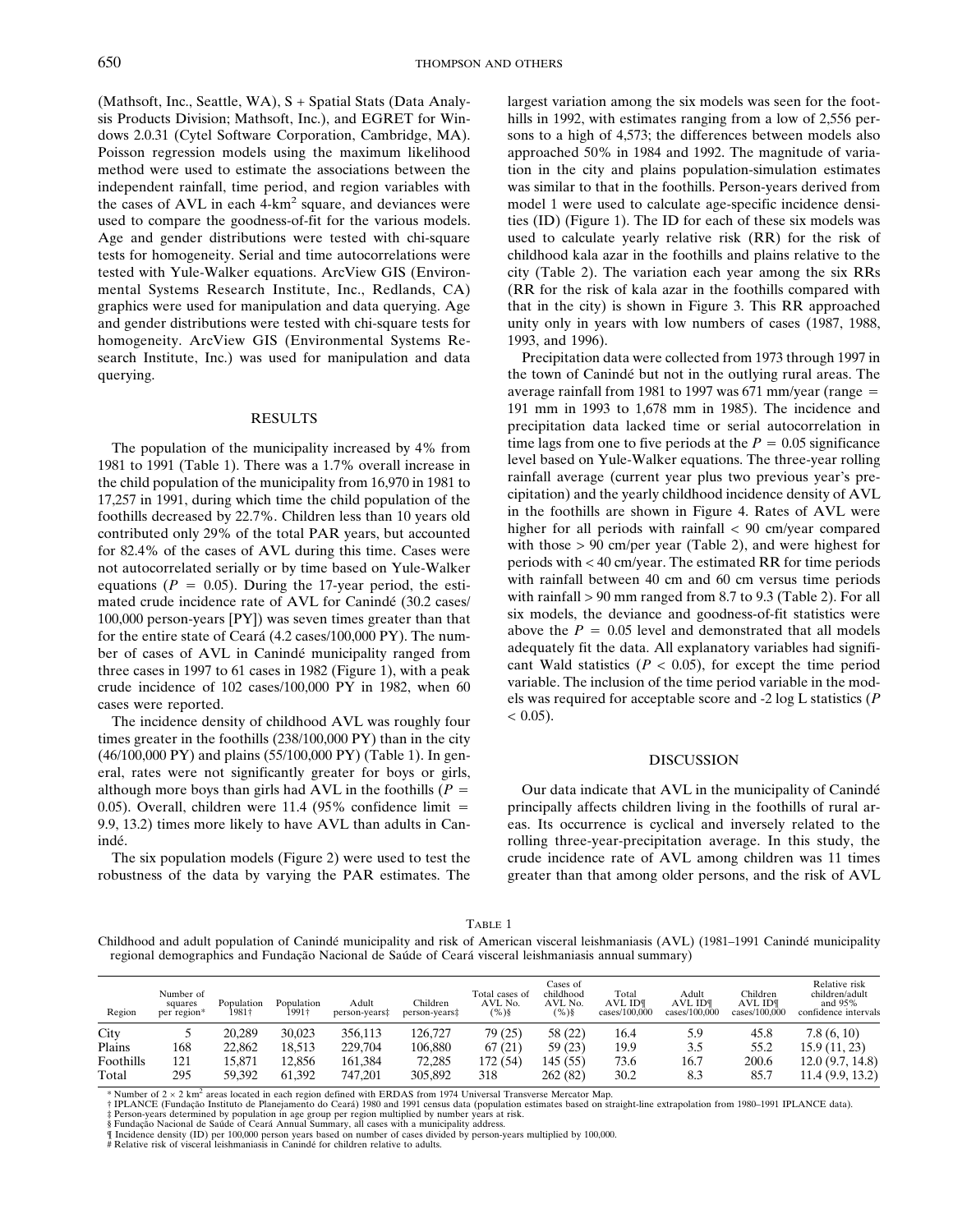(Mathsoft, Inc., Seattle, WA), S + Spatial Stats(Data Analysis Products Division; Mathsoft, Inc.), and EGRET for Windows2.0.31 (Cytel Software Corporation, Cambridge, MA). Poisson regression models using the maximum likelihood method were used to estimate the associations between the independent rainfall, time period, and region variables with the cases of AVL in each 4-km<sup>2</sup> square, and deviances were used to compare the goodness-of-fit for the various models. Age and gender distributions were tested with chi-square tests for homogeneity. Serial and time autocorrelations were tested with Yule-Walker equations. ArcView GIS (Environmental Systems Research Institute, Inc., Redlands, CA) graphics were used for manipulation and data querying. Age and gender distributions were tested with chi-square tests for homogeneity. ArcView GIS (Environmental Systems Research Institute, Inc.) was used for manipulation and data querying.

#### RESULTS

The population of the municipality increased by 4% from 1981 to 1991 (Table 1). There was a 1.7% overall increase in the child population of the municipality from 16,970 in 1981 to 17,257 in 1991, during which time the child population of the foothills decreased by 22.7%. Children less than 10 years old contributed only 29% of the total PAR years, but accounted for 82.4% of the cases of AVL during this time. Cases were not autocorrelated serially or by time based on Yule-Walker equations ( $P = 0.05$ ). During the 17-year period, the estimated crude incidence rate of AVL for Canindé (30.2 cases/ 100,000 person-years [PY]) was seven times greater than that for the entire state of Ceará (4.2 cases/100,000 PY). The number of cases of AVL in Canindé municipality ranged from three cases in 1997 to 61 cases in 1982 (Figure 1), with a peak crude incidence of 102 cases/100,000 PY in 1982, when 60 cases were reported.

The incidence density of childhood AVL was roughly four times greater in the foothills  $(238/100,000 \text{ PY})$  than in the city (46/100,000 PY) and plains(55/100,000 PY) (Table 1). In general, rates were not significantly greater for boys or girls, although more boys than girls had AVL in the foothills ( $P =$ 0.05). Overall, children were 11.4 (95% confidence limit  $=$ 9.9, 13.2) times more likely to have AVL than adults in Canindé.

The six population models (Figure 2) were used to test the robustness of the data by varying the PAR estimates. The

largest variation among the six models was seen for the foothills in 1992, with estimates ranging from a low of 2,556 persons to a high of 4,573; the differences between models also approached 50% in 1984 and 1992. The magnitude of variation in the city and plains population-simulation estimates was similar to that in the foothills. Person-years derived from model 1 were used to calculate age-specific incidence densities (ID) (Figure 1). The ID for each of these six models was used to calculate yearly relative risk (RR) for the risk of childhood kala azar in the foothills and plains relative to the city (Table 2). The variation each year among the six RRs (RR for the risk of kala azar in the foothills compared with that in the city) is shown in Figure 3. This RR approached unity only in years with low numbers of cases (1987, 1988, 1993, and 1996).

Precipitation data were collected from 1973 through 1997 in the town of Canindé but not in the outlying rural areas. The average rainfall from 1981 to 1997 was 671 mm/year (range  $=$ 191 mm in 1993 to 1,678 mm in 1985). The incidence and precipitation data lacked time or serial autocorrelation in time lags from one to five periods at the  $P = 0.05$  significance level based on Yule-Walker equations. The three-year rolling rainfall average (current year plus two previous year's precipitation) and the yearly childhood incidence density of AVL in the foothills are shown in Figure 4. Rates of AVL were higher for all periods with rainfall  $< 90$  cm/year compared with those > 90 cm/per year (Table 2), and were highest for periodswith < 40 cm/year. The estimated RR for time periods with rainfall between 40 cm and 60 cm versus time periods with rainfall > 90 mm ranged from 8.7 to 9.3 (Table 2). For all six models, the deviance and goodness-of-fit statistics were above the  $P = 0.05$  level and demonstrated that all models adequately fit the data. All explanatory variables had significant Wald statistics  $(P < 0.05)$ , for except the time period variable. The inclusion of the time period variable in the models was required for acceptable score and -2 log L statistics (*P*  $< 0.05$ ).

### DISCUSSION

Our data indicate that AVL in the municipality of Canindé principally affects children living in the foothills of rural areas. Its occurrence is cyclical and inversely related to the rolling three-year-precipitation average. In this study, the crude incidence rate of AVL among children was11 times greater than that among older persons, and the risk of AVL

## TABLE 1

Childhood and adult population of Canindé municipality and risk of American visceral leishmaniasis (AVL) (1981–1991 Canindé municipality regional demographics and Fundação Nacional de Saúde of Ceará visceral leishmaniasis annual summary)

| Region    | Number of<br>squares<br>per region* | Population<br>1981† | Population<br>1991† | Adult<br>person-years‡ | Children<br>person-years‡ | Total cases of<br>AVL No.<br>$(9)$ § | Cases of<br>childhood<br>AVL No.<br>$(\%)^{8}$ | Total<br>AVL ID¶<br>cases/100,000 | Adult<br>AVL ID¶<br>cases/100,000 | Children<br>AVL ID¶<br>cases/100,000 | Relative risk<br>children/adult<br>and $95\%$<br>confidence intervals |
|-----------|-------------------------------------|---------------------|---------------------|------------------------|---------------------------|--------------------------------------|------------------------------------------------|-----------------------------------|-----------------------------------|--------------------------------------|-----------------------------------------------------------------------|
| City      |                                     | 20.289              | 30.023              | 356.113                | 126.727                   | 79 (25)                              | 58 (22)                                        | 16.4                              | 5.9                               | 45.8                                 | 7.8(6, 10)                                                            |
| Plains    | 168                                 | 22,862              | 18.513              | 229,704                | 106,880                   | 67(21)                               | 59 (23)                                        | 19.9                              | 3.5                               | 55.2                                 | 15.9(11, 23)                                                          |
| Foothills | 121                                 | 15.871              | 12.856              | 161.384                | 72.285                    | 172 (54)                             | 145 (55)                                       | 73.6                              | 16.7                              | 200.6                                | 12.0(9.7, 14.8)                                                       |
| Total     | 295                                 | 59.392              | 61.392              | 747.201                | 305,892                   | 318                                  | 262(82)                                        | 30.2                              | 8.3                               | 85.7                                 | 11.4(9.9, 13.2)                                                       |

\* Number of 2 × 2 km² areas located in each region defined with ERDAS from 1974 Universal Transverse Mercator Map.<br>† IPLANCE (Fundação Instituto de Planejamento do Ceará) 1980 and 1991 census data (population estimates bas ‡ Person-years determined by population in age group per region multiplied by number years at risk.<br>§ Fundação Nacional de Saúde of Ceará Annual Summary, all cases with a municipality address.<br>¶ Incidence density (ID) per

# Relative risk of visceral leishmaniasis in Canindé for children relative to adults.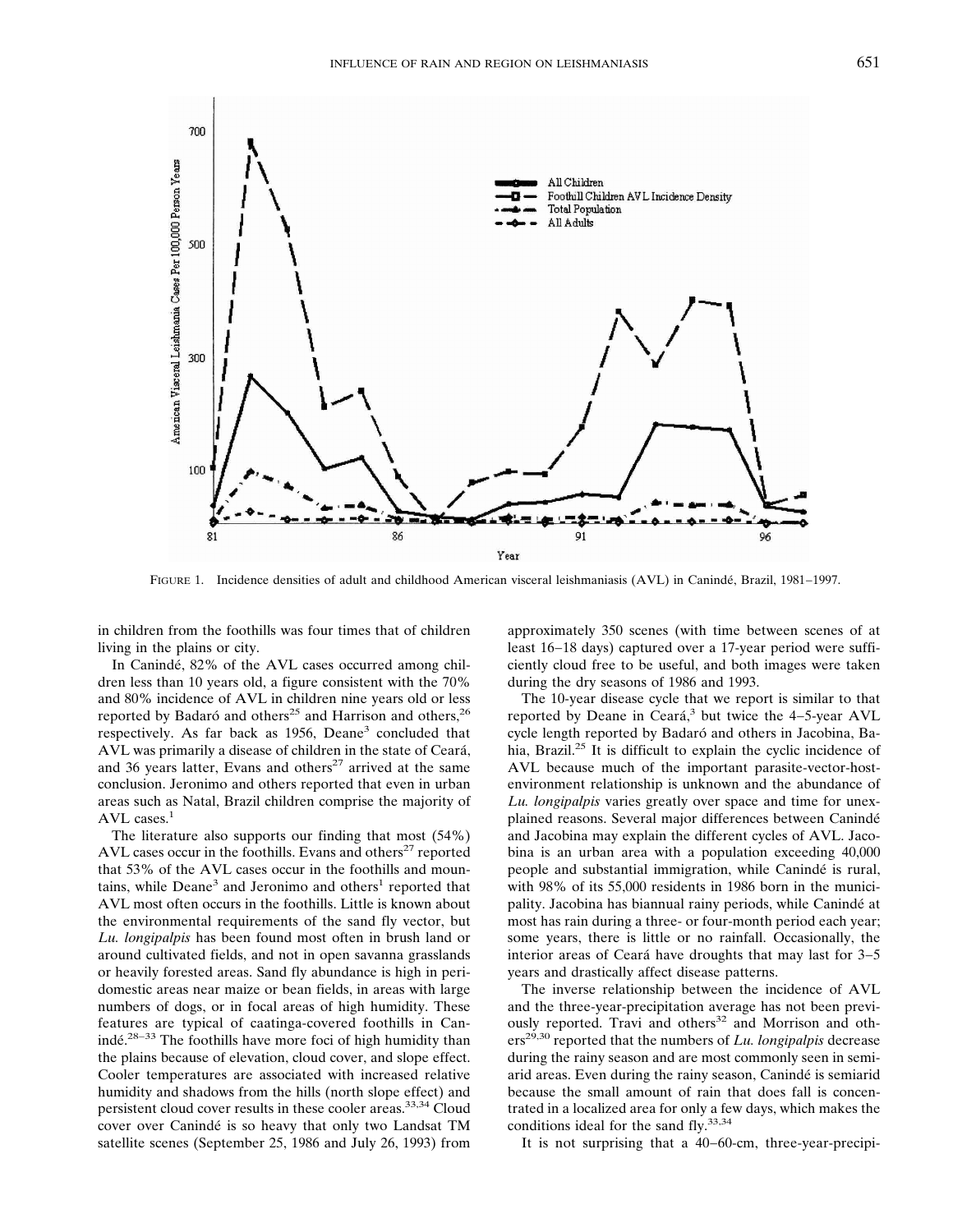

FIGURE 1. Incidence densities of adult and childhood American visceral leishmaniasis (AVL) in Canindé, Brazil, 1981−1997.

in children from the foothills was four times that of children living in the plains or city.

In Canindé, 82% of the AVL cases occurred among children less than 10 years old, a figure consistent with the 70% and 80% incidence of AVL in children nine years old or less reported by Badaró and others<sup>25</sup> and Harrison and others,<sup>26</sup> respectively. As far back as 1956, Deane<sup>3</sup> concluded that AVL was primarily a disease of children in the state of Ceará, and 36 years latter, Evans and others<sup>27</sup> arrived at the same conclusion. Jeronimo and others reported that even in urban areas such as Natal, Brazil children comprise the majority of AVL cases.<sup>1</sup>

The literature also supports our finding that most (54%) AVL cases occur in the foothills. Evans and others<sup>27</sup> reported that 53% of the AVL cases occur in the foothills and mountains, while  $Deane<sup>3</sup>$  and Jeronimo and others<sup>1</sup> reported that AVL most often occurs in the foothills. Little is known about the environmental requirements of the sand fly vector, but *Lu. longipalpis* has been found most often in brush land or around cultivated fields, and not in open savanna grasslands or heavily forested areas. Sand fly abundance is high in peridomestic areas near maize or bean fields, in areas with large numbers of dogs, or in focal areas of high humidity. These features are typical of caatinga-covered foothills in Canindé.<sup>28−33</sup> The foothills have more foci of high humidity than the plains because of elevation, cloud cover, and slope effect. Cooler temperatures are associated with increased relative humidity and shadows from the hills (north slope effect) and persistent cloud cover results in these cooler areas.<sup>33,34</sup> Cloud cover over Canindé is so heavy that only two Landsat TM satellite scenes (September 25, 1986 and July 26, 1993) from

approximately 350 scenes (with time between scenes of at least 16−18 days) captured over a 17-year period were sufficiently cloud free to be useful, and both images were taken during the dry seasons of 1986 and 1993.

The 10-year disease cycle that we report is similar to that reported by Deane in Ceará,<sup>3</sup> but twice the 4–5-year AVL cycle length reported by Badaró and others in Jacobina, Bahia, Brazil.<sup>25</sup> It is difficult to explain the cyclic incidence of AVL because much of the important parasite-vector-hostenvironment relationship is unknown and the abundance of *Lu. longipalpis* varies greatly over space and time for unexplained reasons. Several major differences between Canindé and Jacobina may explain the different cycles of AVL. Jacobina is an urban area with a population exceeding 40,000 people and substantial immigration, while Canindé is rural, with 98% of its 55,000 residents in 1986 born in the municipality. Jacobina has biannual rainy periods, while Canindé at most has rain during a three- or four-month period each year; some years, there is little or no rainfall. Occasionally, the interior areas of Ceará have droughts that may last for 3−5 years and drastically affect disease patterns.

The inverse relationship between the incidence of AVL and the three-year-precipitation average has not been previously reported. Travi and others<sup>32</sup> and Morrison and others<sup>29,30</sup> reported that the numbers of *Lu. longipalpis* decrease during the rainy season and are most commonly seen in semiarid areas. Even during the rainy season, Canindé is semiarid because the small amount of rain that does fall is concentrated in a localized area for only a few days, which makes the conditions ideal for the sand fly.<sup>33,34</sup>

It is not surprising that a 40−60-cm, three-year-precipi-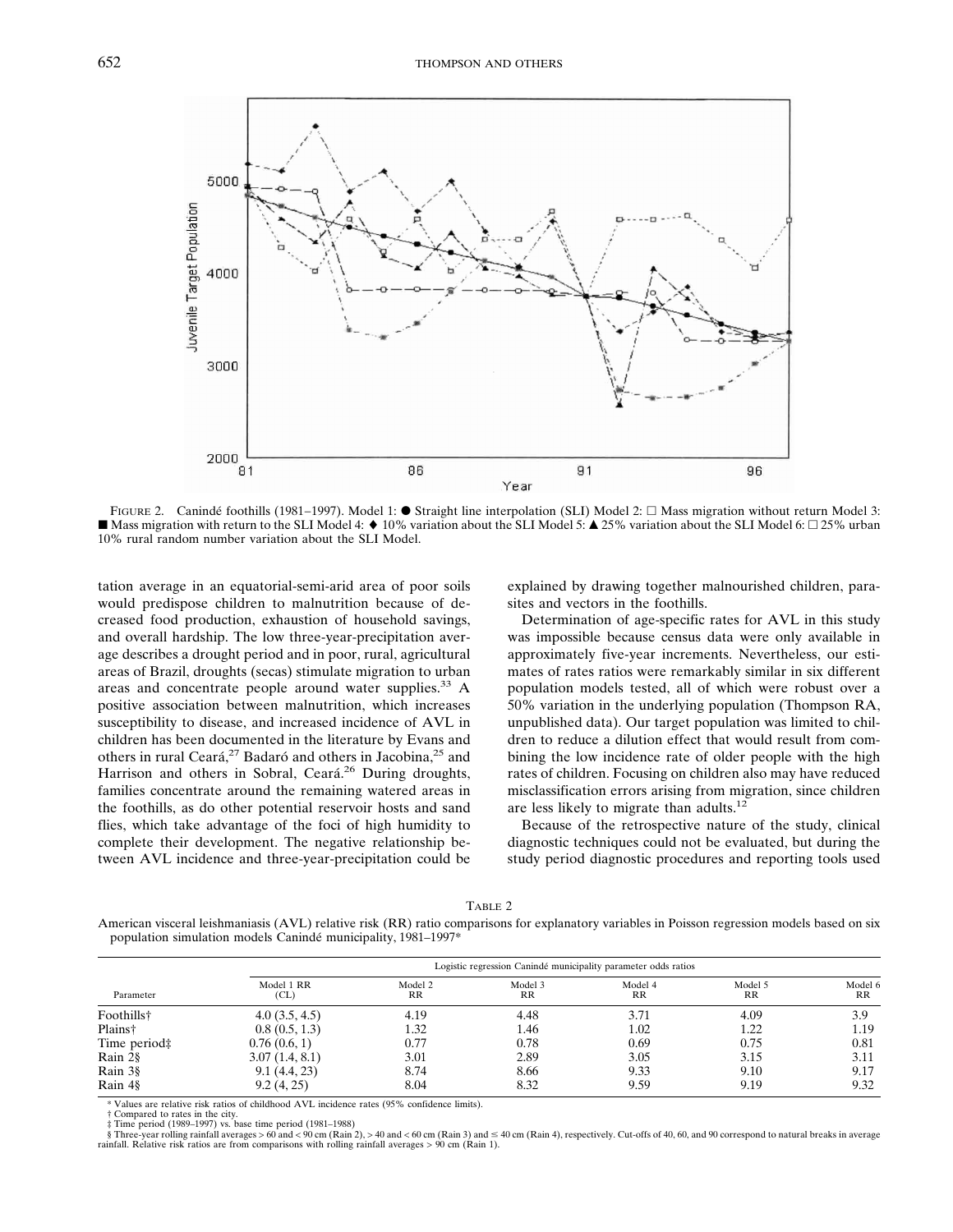

FIGURE 2. Canindé foothills (1981–1997). Model 1: ● Straight line interpolation (SLI) Model 2: □ Mass migration without return Model 3: ■ Mass migration with return to the SLI Model 4: ♦ 10% variation about the SLI Model 5: ▲ 25% variation about the SLI Model 6: □ 25% urban 10% rural random number variation about the SLI Model.

tation average in an equatorial-semi-arid area of poor soils would predispose children to malnutrition because of decreased food production, exhaustion of household savings, and overall hardship. The low three-year-precipitation average describes a drought period and in poor, rural, agricultural areas of Brazil, droughts (secas) stimulate migration to urban areas and concentrate people around water supplies.<sup>33</sup> A positive association between malnutrition, which increases susceptibility to disease, and increased incidence of AVL in children has been documented in the literature by Evans and others in rural Ceará,<sup>27</sup> Badaró and others in Jacobina,<sup>25</sup> and Harrison and others in Sobral, Ceará.<sup>26</sup> During droughts, families concentrate around the remaining watered areas in the foothills, as do other potential reservoir hosts and sand flies, which take advantage of the foci of high humidity to complete their development. The negative relationship between AVL incidence and three-year-precipitation could be

explained by drawing together malnourished children, parasites and vectors in the foothills.

Determination of age-specific rates for AVL in this study was impossible because census data were only available in approximately five-year increments. Nevertheless, our estimates of rates ratios were remarkably similar in six different population models tested, all of which were robust over a 50% variation in the underlying population (Thompson RA, unpublished data). Our target population was limited to children to reduce a dilution effect that would result from combining the low incidence rate of older people with the high rates of children. Focusing on children also may have reduced misclassification errors arising from migration, since children are less likely to migrate than adults. $^{12}$ 

Because of the retrospective nature of the study, clinical diagnostic techniques could not be evaluated, but during the study period diagnostic procedures and reporting tools used

TABLE 2 American visceral leishmaniasis (AVL) relative risk (RR) ratio comparisons for explanatory variables in Poisson regression models based on six population simulation models Canindé municipality, 1981–1997\*

|                     | Logistic regression Canindé municipality parameter odds ratios |               |               |                      |                    |                      |  |  |  |  |  |
|---------------------|----------------------------------------------------------------|---------------|---------------|----------------------|--------------------|----------------------|--|--|--|--|--|
| Parameter           | Model 1 RR<br>CL)                                              | Model 2<br>RR | Model 3<br>RR | Model 4<br><b>RR</b> | Model 5<br>$_{RR}$ | Model 6<br><b>RR</b> |  |  |  |  |  |
| Foothills†          | 4.0(3.5, 4.5)                                                  | 4.19          | 4.48          | 3.71                 | 4.09               | 3.9                  |  |  |  |  |  |
| Plains <sup>†</sup> | 0.8(0.5, 1.3)                                                  | 1.32          | 1.46          | 1.02                 | 1.22               | 1.19                 |  |  |  |  |  |
| Time period‡        | 0.76(0.6, 1)                                                   | 0.77          | 0.78          | 0.69                 | 0.75               | 0.81                 |  |  |  |  |  |
| Rain 2§             | 3.07(1.4, 8.1)                                                 | 3.01          | 2.89          | 3.05                 | 3.15               | 3.11                 |  |  |  |  |  |
| Rain 3§             | 9.1(4.4, 23)                                                   | 8.74          | 8.66          | 9.33                 | 9.10               | 9.17                 |  |  |  |  |  |
| Rain 4§             | 9.2(4, 25)                                                     | 8.04          | 8.32          | 9.59                 | 9.19               | 9.32                 |  |  |  |  |  |

\* Values are relative risk ratios of childhood AVL incidence rates (95% confidence limits).

 $\dagger$  Compared to rates in the city.

‡ Time period (1989–1997) vs. base time period (1981–1988)<br>§ Three-year rolling rainfall averages > 60 and < 90 cm (Rain 2), > 40 and < 60 cm (Rain 3) and ≤ 40 cm (Rain 4), respectively. Cut-offs of 40, 60, and 90 corresp rainfall. Relative risk ratios are from comparisons with rolling rainfall averages > 90 cm (Rain 1).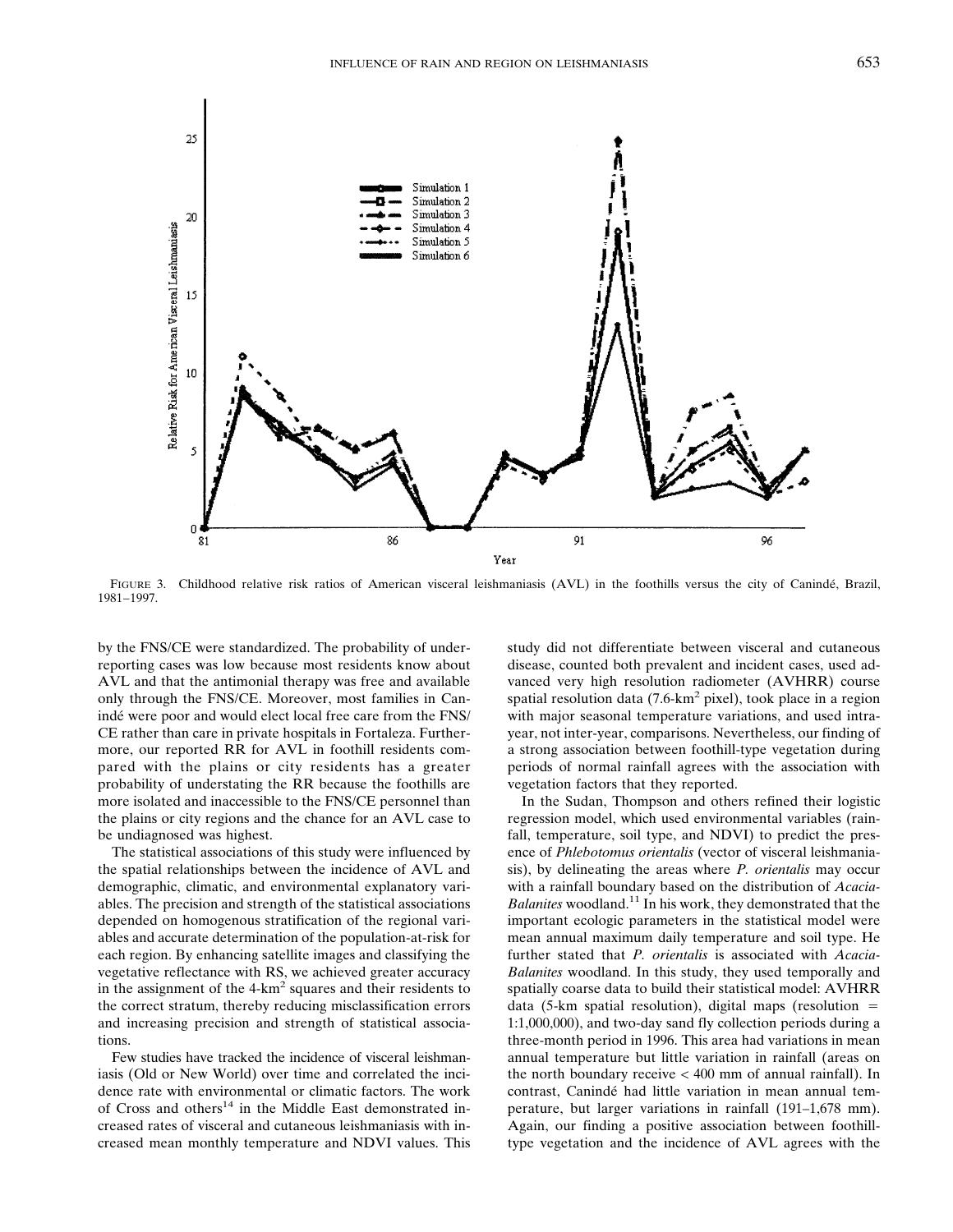

FIGURE 3. Childhood relative risk ratios of American visceral leishmaniasis (AVL) in the foothills versus the city of Canindé, Brazil, 1981−1997.

by the FNS/CE were standardized. The probability of underreporting cases was low because most residents know about AVL and that the antimonial therapy was free and available only through the FNS/CE. Moreover, most families in Canindé were poor and would elect local free care from the FNS/ CE rather than care in private hospitals in Fortaleza. Furthermore, our reported RR for AVL in foothill residents compared with the plains or city residents has a greater probability of understating the RR because the foothills are more isolated and inaccessible to the FNS/CE personnel than the plains or city regions and the chance for an AVL case to be undiagnosed was highest.

The statistical associations of this study were influenced by the spatial relationships between the incidence of AVL and demographic, climatic, and environmental explanatory variables. The precision and strength of the statistical associations depended on homogenous stratification of the regional variables and accurate determination of the population-at-risk for each region. By enhancing satellite images and classifying the vegetative reflectance with RS, we achieved greater accuracy in the assignment of the  $4-km^2$  squares and their residents to the correct stratum, thereby reducing misclassification errors and increasing precision and strength of statistical associations.

Few studies have tracked the incidence of visceral leishmaniasis (Old or New World) over time and correlated the incidence rate with environmental or climatic factors. The work of Cross and others<sup>14</sup> in the Middle East demonstrated increased rates of visceral and cutaneous leishmaniasis with increased mean monthly temperature and NDVI values. This

study did not differentiate between visceral and cutaneous disease, counted both prevalent and incident cases, used advanced very high resolution radiometer (AVHRR) course spatial resolution data  $(7.6 \text{ km}^2 \text{ pixel})$ , took place in a region with major seasonal temperature variations, and used intrayear, not inter-year, comparisons. Nevertheless, our finding of a strong association between foothill-type vegetation during periods of normal rainfall agrees with the association with vegetation factors that they reported.

In the Sudan, Thompson and others refined their logistic regression model, which used environmental variables (rainfall, temperature, soil type, and NDVI) to predict the presence of *Phlebotomus orientalis* (vector of visceral leishmaniasis), by delineating the areas where *P. orientalis* may occur with a rainfall boundary based on the distribution of *Acacia-Balanites* woodland.<sup>11</sup> In his work, they demonstrated that the important ecologic parameters in the statistical model were mean annual maximum daily temperature and soil type. He further stated that *P. orientalis* is associated with *Acacia-Balanites* woodland. In this study, they used temporally and spatially coarse data to build their statistical model: AVHRR data (5-km spatial resolution), digital maps (resolution  $=$ 1:1,000,000), and two-day sand fly collection periods during a three-month period in 1996. This area had variations in mean annual temperature but little variation in rainfall (areas on the north boundary receive < 400 mm of annual rainfall). In contrast, Canindé had little variation in mean annual temperature, but larger variations in rainfall  $(191–1,678 \text{ mm})$ . Again, our finding a positive association between foothilltype vegetation and the incidence of AVL agrees with the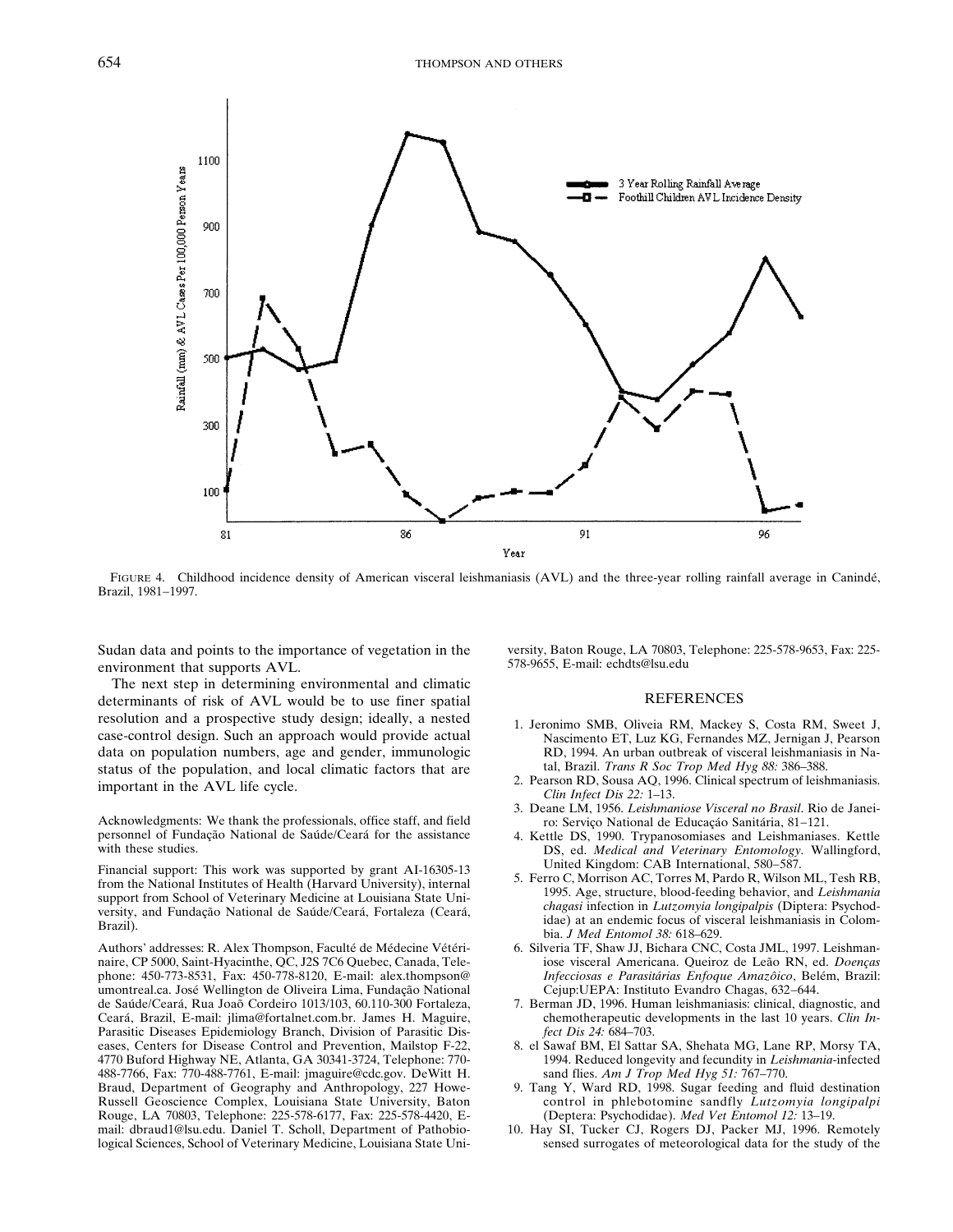

FIGURE 4. Childhood incidence density of American visceral leishmaniasis (AVL) and the three-year rolling rainfall average in Canindé, Brazil, 1981−1997.

Sudan data and points to the importance of vegetation in the environment that supports AVL.

The next step in determining environmental and climatic determinants of risk of AVL would be to use finer spatial resolution and a prospective study design; ideally, a nested case-control design. Such an approach would provide actual data on population numbers, age and gender, immunologic status of the population, and local climatic factors that are important in the AVL life cycle.

Acknowledgments: We thank the professionals, office staff, and field personnel of Fundação National de Saúde/Ceará for the assistance with these studies.

Financial support: This work was supported by grant AI-16305-13 from the National Institutes of Health (Harvard University), internal support from School of Veterinary Medicine at Louisiana State University, and Fundação National de Saúde/Ceará, Fortaleza (Ceará, Brazil).

Authors' addresses: R. Alex Thompson, Faculté de Médecine Vétérinaire, CP 5000, Saint-Hyacinthe, QC, J2S 7C6 Quebec, Canada, Telephone: 450-773-8531, Fax: 450-778-8120, E-mail: alex.thompson@ umontreal.ca. José Wellington de Oliveira Lima, Fundação National de Saúde/Ceará, Rua Joaõ Cordeiro 1013/103, 60.110-300 Fortaleza, Ceará, Brazil, E-mail: jlima@fortalnet.com.br. James H. Maguire, Parasitic Diseases Epidemiology Branch, Division of Parasitic Diseases, Centers for Disease Control and Prevention, Mailstop F-22, 4770 Buford Highway NE, Atlanta, GA 30341-3724, Telephone: 770- 488-7766, Fax: 770-488-7761, E-mail: jmaguire@cdc.gov. DeWitt H. Braud, Department of Geography and Anthropology, 227 Howe-Russell Geoscience Complex, Louisiana State University, Baton Rouge, LA 70803, Telephone: 225-578-6177, Fax: 225-578-4420, Email: dbraud1@lsu.edu. Daniel T. Scholl, Department of Pathobiological Sciences, School of Veterinary Medicine, Louisiana State Uni-

versity, Baton Rouge, LA 70803, Telephone: 225-578-9653, Fax: 225- 578-9655, E-mail: echdts@lsu.edu

#### **REFERENCES**

- 1. Jeronimo SMB, Oliveia RM, Mackey S, Costa RM, Sweet J, Nascimento ET, Luz KG, Fernandes MZ, Jernigan J, Pearson RD, 1994. An urban outbreak of visceral leishmaniasis in Natal, Brazil. *Trans R Soc Trop Med Hyg 88:* 386-388.
- 2. Pearson RD, Sousa AQ, 1996. Clinical spectrum of leishmaniasis. *Clin Infect Dis 22:* 1–13.
- 3. Deane LM, 1956. *Leishmaniose Visceral no Brasil*. Rio de Janeiro: Serviço National de Educaçáo Sanitária, 81−121.
- 4. Kettle DS, 1990. Trypanosomiases and Leishmaniases. Kettle DS, ed. *Medical and Veterinary Entomology.* Wallingford, United Kingdom: CAB International, 580−587.
- 5. Ferro C, Morrison AC, Torres M, Pardo R, Wilson ML, Tesh RB, 1995. Age, structure, blood-feeding behavior, and *Leishmania chagasi* infection in *Lutzomyia longipalpis* (Diptera: Psychodidae) at an endemic focus of visceral leishmaniasis in Colombia. *J Med Entomol 38:* 618–629.
- 6. Silveria TF, Shaw JJ, Bichara CNC, Costa JML, 1997. Leishmaniose visceral Americana. Queiroz de Leão RN, ed. *Doenças Infecciosas e Parasitárias Enfoque Amazôico*, Belém, Brazil: Cejup:UEPA: Instituto Evandro Chagas, 632−644.
- 7. Berman JD, 1996. Human leishmaniasis: clinical, diagnostic, and chemotherapeutic developments in the last 10 years. *Clin Infect Dis 24:* 684–703.
- 8. el Sawaf BM, El Sattar SA, Shehata MG, Lane RP, Morsy TA, 1994. Reduced longevity and fecundity in *Leishmania*-infected sand flies. *Am J Trop Med Hyg 51:* 767–770.
- 9. Tang Y, Ward RD, 1998. Sugar feeding and fluid destination control in phlebotomine sandfly *Lutzomyia longipalpi* (Deptera: Psychodidae). *Med Vet Entomol 12:* 13–19.
- 10. Hay SI, Tucker CJ, Rogers DJ, Packer MJ, 1996. Remotely sensed surrogates of meteorological data for the study of the